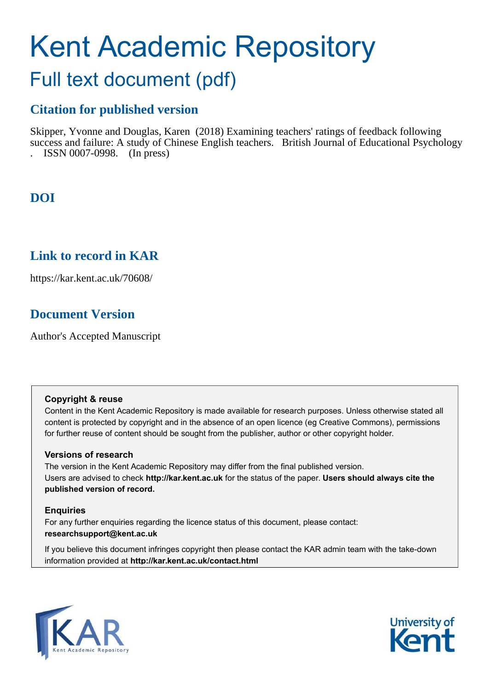# Kent Academic Repository

## Full text document (pdf)

## **Citation for published version**

Skipper, Yvonne and Douglas, Karen (2018) Examining teachers' ratings of feedback following success and failure: A study of Chinese English teachers. British Journal of Educational Psychology . ISSN 0007-0998. (In press)

## **DOI**

## **Link to record in KAR**

https://kar.kent.ac.uk/70608/

## **Document Version**

Author's Accepted Manuscript

#### **Copyright & reuse**

Content in the Kent Academic Repository is made available for research purposes. Unless otherwise stated all content is protected by copyright and in the absence of an open licence (eg Creative Commons), permissions for further reuse of content should be sought from the publisher, author or other copyright holder.

#### **Versions of research**

The version in the Kent Academic Repository may differ from the final published version. Users are advised to check **http://kar.kent.ac.uk** for the status of the paper. **Users should always cite the published version of record.**

#### **Enquiries**

For any further enquiries regarding the licence status of this document, please contact: **researchsupport@kent.ac.uk**

If you believe this document infringes copyright then please contact the KAR admin team with the take-down information provided at **http://kar.kent.ac.uk/contact.html**



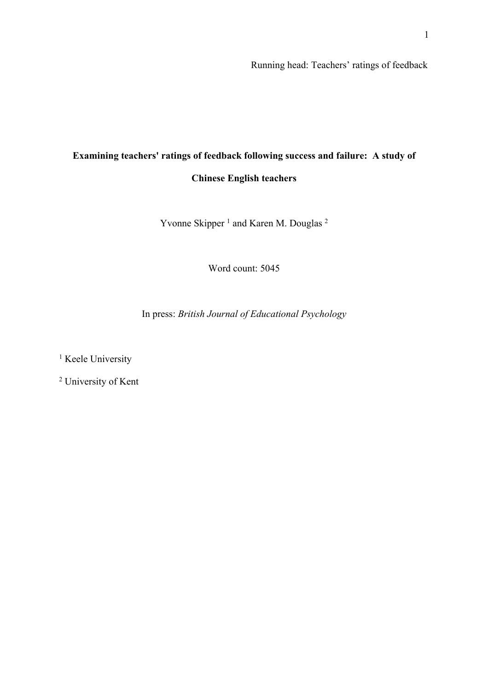## **Examining teachers' ratings of feedback following success and failure: A study of Chinese English teachers**

Yvonne Skipper<sup>1</sup> and Karen M. Douglas<sup>2</sup>

Word count: 5045

In press: *British Journal of Educational Psychology* 

<sup>1</sup> Keele University

2 University of Kent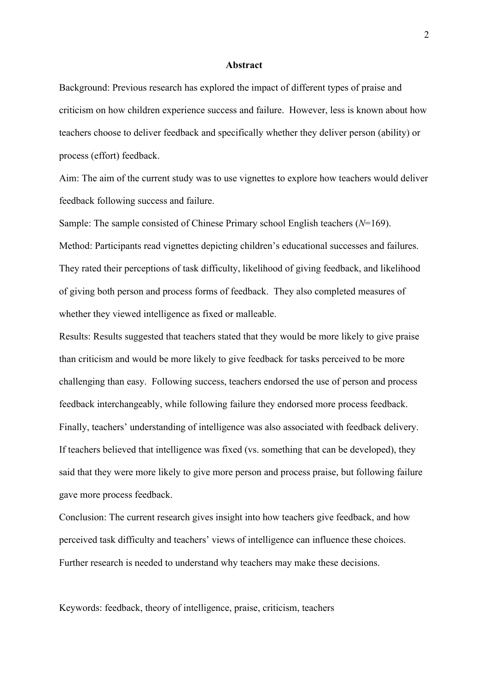#### **Abstract**

Background: Previous research has explored the impact of different types of praise and criticism on how children experience success and failure. However, less is known about how teachers choose to deliver feedback and specifically whether they deliver person (ability) or process (effort) feedback.

Aim: The aim of the current study was to use vignettes to explore how teachers would deliver feedback following success and failure.

Sample: The sample consisted of Chinese Primary school English teachers (*N*=169). Method: Participants read vignettes depicting children's educational successes and failures. They rated their perceptions of task difficulty, likelihood of giving feedback, and likelihood of giving both person and process forms of feedback. They also completed measures of whether they viewed intelligence as fixed or malleable.

Results: Results suggested that teachers stated that they would be more likely to give praise than criticism and would be more likely to give feedback for tasks perceived to be more challenging than easy. Following success, teachers endorsed the use of person and process feedback interchangeably, while following failure they endorsed more process feedback. Finally, teachers' understanding of intelligence was also associated with feedback delivery. If teachers believed that intelligence was fixed (vs. something that can be developed), they said that they were more likely to give more person and process praise, but following failure gave more process feedback.

Conclusion: The current research gives insight into how teachers give feedback, and how perceived task difficulty and teachers' views of intelligence can influence these choices. Further research is needed to understand why teachers may make these decisions.

Keywords: feedback, theory of intelligence, praise, criticism, teachers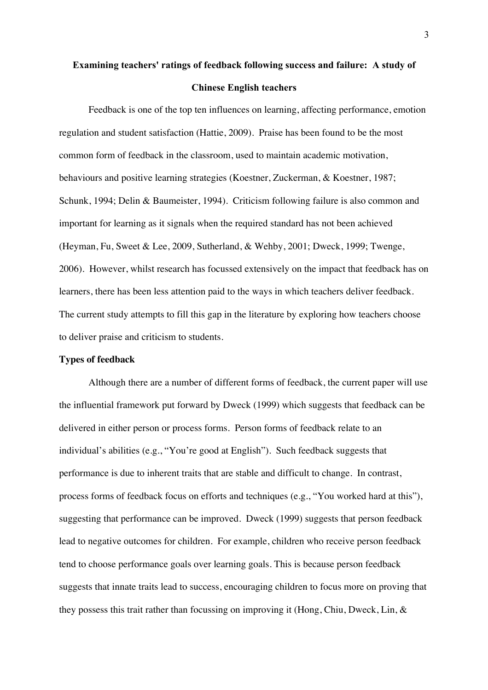## **Examining teachers' ratings of feedback following success and failure: A study of Chinese English teachers**

Feedback is one of the top ten influences on learning, affecting performance, emotion regulation and student satisfaction (Hattie, 2009). Praise has been found to be the most common form of feedback in the classroom, used to maintain academic motivation, behaviours and positive learning strategies (Koestner, Zuckerman, & Koestner, 1987; Schunk, 1994; Delin & Baumeister, 1994). Criticism following failure is also common and important for learning as it signals when the required standard has not been achieved (Heyman, Fu, Sweet & Lee, 2009, Sutherland, & Wehby, 2001; Dweck, 1999; Twenge, 2006). However, whilst research has focussed extensively on the impact that feedback has on learners, there has been less attention paid to the ways in which teachers deliver feedback. The current study attempts to fill this gap in the literature by exploring how teachers choose to deliver praise and criticism to students.

#### **Types of feedback**

Although there are a number of different forms of feedback, the current paper will use the influential framework put forward by Dweck (1999) which suggests that feedback can be delivered in either person or process forms. Person forms of feedback relate to an individual's abilities (e.g., "You're good at English"). Such feedback suggests that performance is due to inherent traits that are stable and difficult to change. In contrast, process forms of feedback focus on efforts and techniques (e.g., "You worked hard at this"), suggesting that performance can be improved. Dweck (1999) suggests that person feedback lead to negative outcomes for children. For example, children who receive person feedback tend to choose performance goals over learning goals. This is because person feedback suggests that innate traits lead to success, encouraging children to focus more on proving that they possess this trait rather than focussing on improving it (Hong, Chiu, Dweck, Lin, &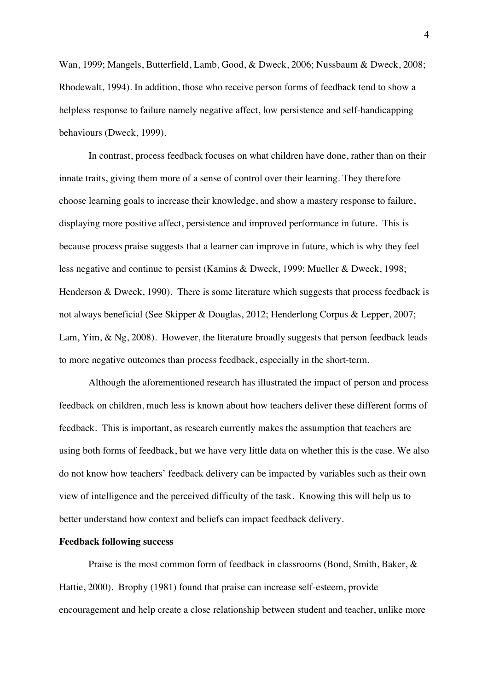Wan, 1999; Mangels, Butterfield, Lamb, Good, & Dweck, 2006; Nussbaum & Dweck, 2008; Rhodewalt, 1994). In addition, those who receive person forms of feedback tend to show a helpless response to failure namely negative affect, low persistence and self-handicapping behaviours (Dweck, 1999).

In contrast, process feedback focuses on what children have done, rather than on their innate traits, giving them more of a sense of control over their learning. They therefore choose learning goals to increase their knowledge, and show a mastery response to failure, displaying more positive affect, persistence and improved performance in future. This is because process praise suggests that a learner can improve in future, which is why they feel less negative and continue to persist (Kamins & Dweck, 1999; Mueller & Dweck, 1998; Henderson & Dweck, 1990). There is some literature which suggests that process feedback is not always beneficial (See Skipper & Douglas, 2012; Henderlong Corpus & Lepper, 2007; Lam, Yim, & Ng, 2008). However, the literature broadly suggests that person feedback leads to more negative outcomes than process feedback, especially in the short-term.

Although the aforementioned research has illustrated the impact of person and process feedback on children, much less is known about how teachers deliver these different forms of feedback. This is important, as research currently makes the assumption that teachers are using both forms of feedback, but we have very little data on whether this is the case. We also do not know how teachers' feedback delivery can be impacted by variables such as their own view of intelligence and the perceived difficulty of the task. Knowing this will help us to better understand how context and beliefs can impact feedback delivery.

#### **Feedback following success**

Praise is the most common form of feedback in classrooms (Bond, Smith, Baker, & Hattie, 2000). Brophy (1981) found that praise can increase self-esteem, provide encouragement and help create a close relationship between student and teacher, unlike more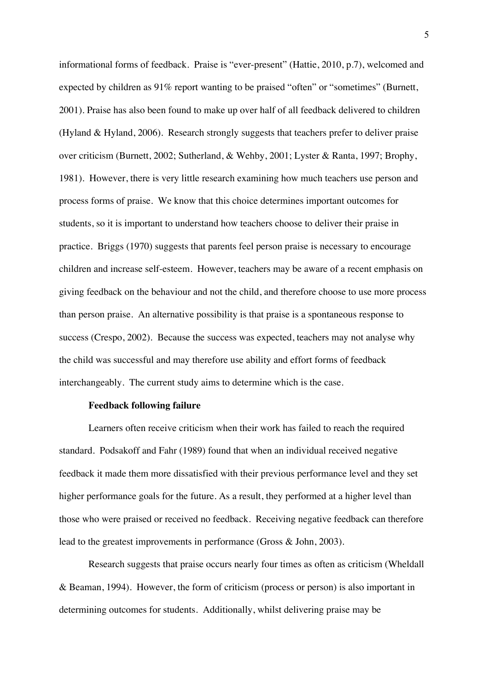informational forms of feedback. Praise is "ever-present" (Hattie, 2010, p.7), welcomed and expected by children as 91% report wanting to be praised "often" or "sometimes" (Burnett, 2001). Praise has also been found to make up over half of all feedback delivered to children (Hyland & Hyland, 2006). Research strongly suggests that teachers prefer to deliver praise over criticism (Burnett, 2002; Sutherland, & Wehby, 2001; Lyster & Ranta, 1997; Brophy, 1981). However, there is very little research examining how much teachers use person and process forms of praise. We know that this choice determines important outcomes for students, so it is important to understand how teachers choose to deliver their praise in practice. Briggs (1970) suggests that parents feel person praise is necessary to encourage children and increase self-esteem. However, teachers may be aware of a recent emphasis on giving feedback on the behaviour and not the child, and therefore choose to use more process than person praise. An alternative possibility is that praise is a spontaneous response to success (Crespo, 2002). Because the success was expected, teachers may not analyse why the child was successful and may therefore use ability and effort forms of feedback interchangeably. The current study aims to determine which is the case.

#### **Feedback following failure**

Learners often receive criticism when their work has failed to reach the required standard. Podsakoff and Fahr (1989) found that when an individual received negative feedback it made them more dissatisfied with their previous performance level and they set higher performance goals for the future. As a result, they performed at a higher level than those who were praised or received no feedback. Receiving negative feedback can therefore lead to the greatest improvements in performance (Gross & John, 2003).

Research suggests that praise occurs nearly four times as often as criticism (Wheldall & Beaman, 1994). However, the form of criticism (process or person) is also important in determining outcomes for students. Additionally, whilst delivering praise may be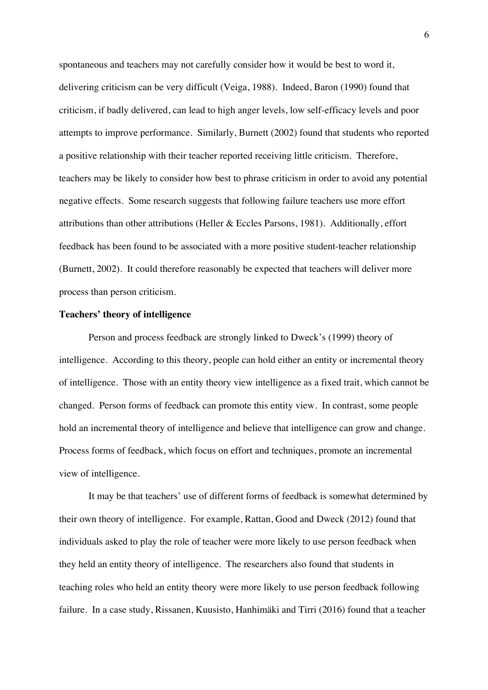spontaneous and teachers may not carefully consider how it would be best to word it, delivering criticism can be very difficult (Veiga, 1988). Indeed, Baron (1990) found that criticism, if badly delivered, can lead to high anger levels, low self-efficacy levels and poor attempts to improve performance. Similarly, Burnett (2002) found that students who reported a positive relationship with their teacher reported receiving little criticism. Therefore, teachers may be likely to consider how best to phrase criticism in order to avoid any potential negative effects. Some research suggests that following failure teachers use more effort attributions than other attributions (Heller & Eccles Parsons, 1981). Additionally, effort feedback has been found to be associated with a more positive student-teacher relationship (Burnett, 2002). It could therefore reasonably be expected that teachers will deliver more process than person criticism.

#### **Teachers' theory of intelligence**

Person and process feedback are strongly linked to Dweck's (1999) theory of intelligence. According to this theory, people can hold either an entity or incremental theory of intelligence. Those with an entity theory view intelligence as a fixed trait, which cannot be changed. Person forms of feedback can promote this entity view. In contrast, some people hold an incremental theory of intelligence and believe that intelligence can grow and change. Process forms of feedback, which focus on effort and techniques, promote an incremental view of intelligence.

It may be that teachers' use of different forms of feedback is somewhat determined by their own theory of intelligence. For example, Rattan, Good and Dweck (2012) found that individuals asked to play the role of teacher were more likely to use person feedback when they held an entity theory of intelligence. The researchers also found that students in teaching roles who held an entity theory were more likely to use person feedback following failure. In a case study, Rissanen, Kuusisto, Hanhimäki and Tirri (2016) found that a teacher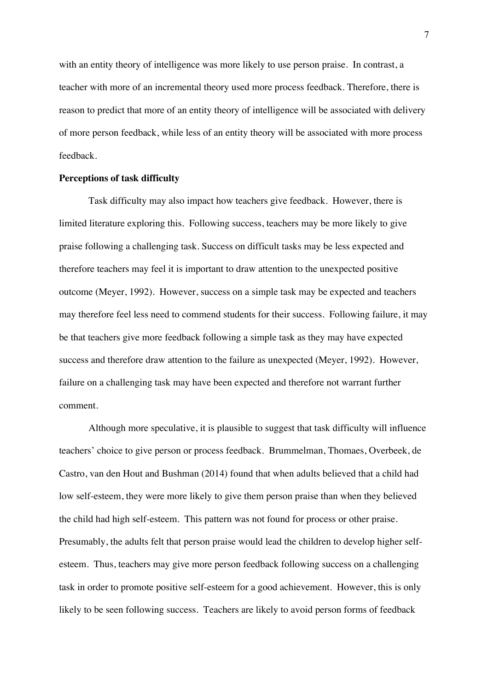with an entity theory of intelligence was more likely to use person praise. In contrast, a teacher with more of an incremental theory used more process feedback. Therefore, there is reason to predict that more of an entity theory of intelligence will be associated with delivery of more person feedback, while less of an entity theory will be associated with more process feedback.

#### **Perceptions of task difficulty**

Task difficulty may also impact how teachers give feedback. However, there is limited literature exploring this. Following success, teachers may be more likely to give praise following a challenging task. Success on difficult tasks may be less expected and therefore teachers may feel it is important to draw attention to the unexpected positive outcome (Meyer, 1992). However, success on a simple task may be expected and teachers may therefore feel less need to commend students for their success. Following failure, it may be that teachers give more feedback following a simple task as they may have expected success and therefore draw attention to the failure as unexpected (Meyer, 1992). However, failure on a challenging task may have been expected and therefore not warrant further comment.

Although more speculative, it is plausible to suggest that task difficulty will influence teachers' choice to give person or process feedback. Brummelman, Thomaes, Overbeek, de Castro, van den Hout and Bushman (2014) found that when adults believed that a child had low self-esteem, they were more likely to give them person praise than when they believed the child had high self-esteem. This pattern was not found for process or other praise. Presumably, the adults felt that person praise would lead the children to develop higher selfesteem. Thus, teachers may give more person feedback following success on a challenging task in order to promote positive self-esteem for a good achievement. However, this is only likely to be seen following success. Teachers are likely to avoid person forms of feedback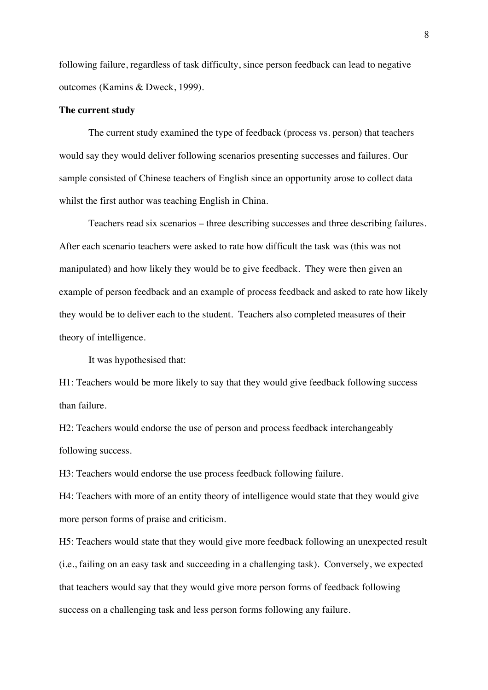following failure, regardless of task difficulty, since person feedback can lead to negative outcomes (Kamins & Dweck, 1999).

#### **The current study**

The current study examined the type of feedback (process vs. person) that teachers would say they would deliver following scenarios presenting successes and failures. Our sample consisted of Chinese teachers of English since an opportunity arose to collect data whilst the first author was teaching English in China.

Teachers read six scenarios – three describing successes and three describing failures. After each scenario teachers were asked to rate how difficult the task was (this was not manipulated) and how likely they would be to give feedback. They were then given an example of person feedback and an example of process feedback and asked to rate how likely they would be to deliver each to the student. Teachers also completed measures of their theory of intelligence.

It was hypothesised that:

H1: Teachers would be more likely to say that they would give feedback following success than failure.

H2: Teachers would endorse the use of person and process feedback interchangeably following success.

H3: Teachers would endorse the use process feedback following failure.

H4: Teachers with more of an entity theory of intelligence would state that they would give more person forms of praise and criticism.

H5: Teachers would state that they would give more feedback following an unexpected result (i.e., failing on an easy task and succeeding in a challenging task). Conversely, we expected that teachers would say that they would give more person forms of feedback following success on a challenging task and less person forms following any failure.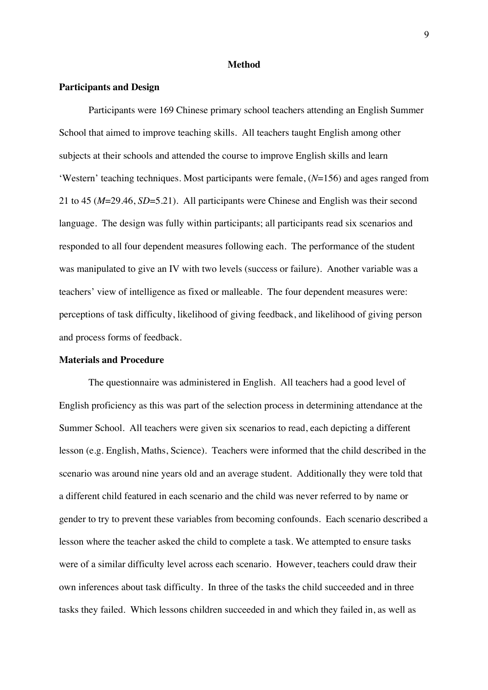#### **Method**

#### **Participants and Design**

Participants were 169 Chinese primary school teachers attending an English Summer School that aimed to improve teaching skills. All teachers taught English among other subjects at their schools and attended the course to improve English skills and learn 'Western' teaching techniques. Most participants were female, (*N*=156) and ages ranged from 21 to 45 (*M*=29.46, *SD*=5.21). All participants were Chinese and English was their second language. The design was fully within participants; all participants read six scenarios and responded to all four dependent measures following each. The performance of the student was manipulated to give an IV with two levels (success or failure). Another variable was a teachers' view of intelligence as fixed or malleable. The four dependent measures were: perceptions of task difficulty, likelihood of giving feedback, and likelihood of giving person and process forms of feedback.

#### **Materials and Procedure**

The questionnaire was administered in English. All teachers had a good level of English proficiency as this was part of the selection process in determining attendance at the Summer School. All teachers were given six scenarios to read, each depicting a different lesson (e.g. English, Maths, Science). Teachers were informed that the child described in the scenario was around nine years old and an average student. Additionally they were told that a different child featured in each scenario and the child was never referred to by name or gender to try to prevent these variables from becoming confounds. Each scenario described a lesson where the teacher asked the child to complete a task. We attempted to ensure tasks were of a similar difficulty level across each scenario. However, teachers could draw their own inferences about task difficulty. In three of the tasks the child succeeded and in three tasks they failed. Which lessons children succeeded in and which they failed in, as well as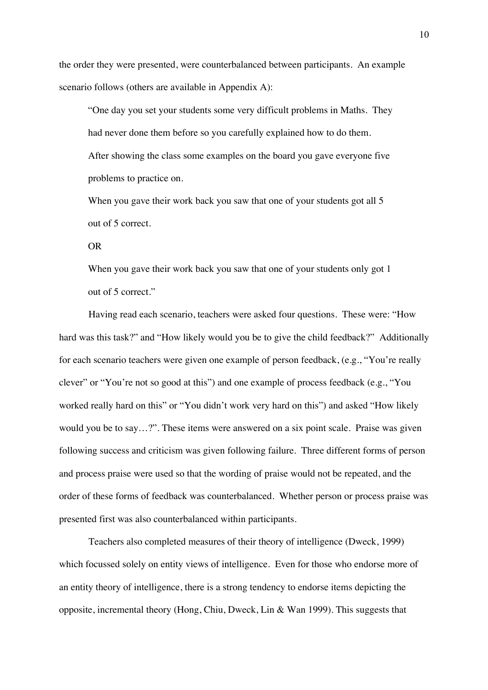the order they were presented, were counterbalanced between participants. An example scenario follows (others are available in Appendix A):

"One day you set your students some very difficult problems in Maths. They had never done them before so you carefully explained how to do them. After showing the class some examples on the board you gave everyone five problems to practice on.

When you gave their work back you saw that one of your students got all 5 out of 5 correct.

OR

When you gave their work back you saw that one of your students only got 1 out of 5 correct."

Having read each scenario, teachers were asked four questions. These were: "How hard was this task?" and "How likely would you be to give the child feedback?" Additionally for each scenario teachers were given one example of person feedback, (e.g., "You're really clever" or "You're not so good at this") and one example of process feedback (e.g., "You worked really hard on this" or "You didn't work very hard on this") and asked "How likely would you be to say…?". These items were answered on a six point scale. Praise was given following success and criticism was given following failure. Three different forms of person and process praise were used so that the wording of praise would not be repeated, and the order of these forms of feedback was counterbalanced. Whether person or process praise was presented first was also counterbalanced within participants.

Teachers also completed measures of their theory of intelligence (Dweck, 1999) which focussed solely on entity views of intelligence. Even for those who endorse more of an entity theory of intelligence, there is a strong tendency to endorse items depicting the opposite, incremental theory (Hong, Chiu, Dweck, Lin & Wan 1999). This suggests that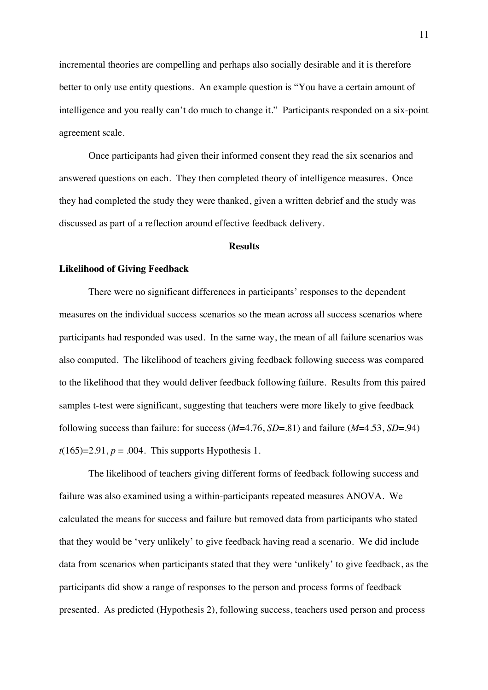incremental theories are compelling and perhaps also socially desirable and it is therefore better to only use entity questions. An example question is "You have a certain amount of intelligence and you really can't do much to change it." Participants responded on a six-point agreement scale.

Once participants had given their informed consent they read the six scenarios and answered questions on each. They then completed theory of intelligence measures. Once they had completed the study they were thanked, given a written debrief and the study was discussed as part of a reflection around effective feedback delivery.

#### **Results**

#### **Likelihood of Giving Feedback**

There were no significant differences in participants' responses to the dependent measures on the individual success scenarios so the mean across all success scenarios where participants had responded was used. In the same way, the mean of all failure scenarios was also computed. The likelihood of teachers giving feedback following success was compared to the likelihood that they would deliver feedback following failure. Results from this paired samples t-test were significant, suggesting that teachers were more likely to give feedback following success than failure: for success (*M*=4.76, *SD*=.81) and failure (*M*=4.53, *SD*=.94) *t*(165)=2.91, *p* = .004. This supports Hypothesis 1.

The likelihood of teachers giving different forms of feedback following success and failure was also examined using a within-participants repeated measures ANOVA. We calculated the means for success and failure but removed data from participants who stated that they would be 'very unlikely' to give feedback having read a scenario. We did include data from scenarios when participants stated that they were 'unlikely' to give feedback, as the participants did show a range of responses to the person and process forms of feedback presented. As predicted (Hypothesis 2), following success, teachers used person and process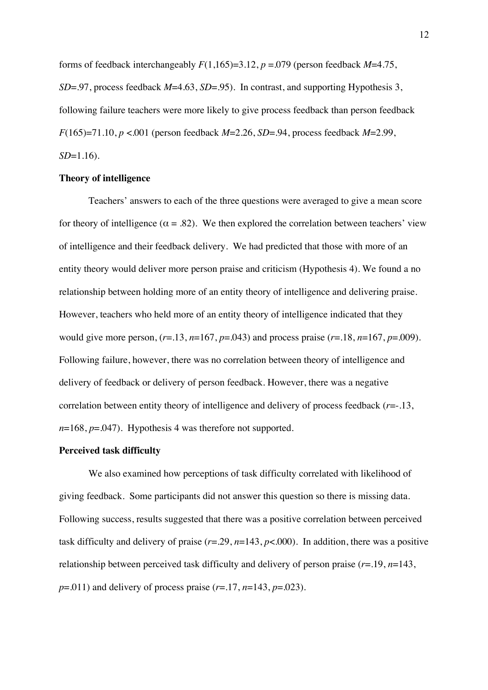forms of feedback interchangeably  $F(1,165)=3.12$ ,  $p=.079$  (person feedback  $M=4.75$ , *SD*=.97, process feedback *M*=4.63, *SD*=.95). In contrast, and supporting Hypothesis 3, following failure teachers were more likely to give process feedback than person feedback *F*(165)=71.10, *p* <.001 (person feedback *M*=2.26, *SD*=.94, process feedback *M*=2.99, *SD*=1.16).

#### **Theory of intelligence**

Teachers' answers to each of the three questions were averaged to give a mean score for theory of intelligence ( $\alpha = .82$ ). We then explored the correlation between teachers' view of intelligence and their feedback delivery. We had predicted that those with more of an entity theory would deliver more person praise and criticism (Hypothesis 4). We found a no relationship between holding more of an entity theory of intelligence and delivering praise. However, teachers who held more of an entity theory of intelligence indicated that they would give more person, (*r*=.13, *n*=167, *p*=.043) and process praise (*r*=.18, *n*=167, *p*=.009). Following failure, however, there was no correlation between theory of intelligence and delivery of feedback or delivery of person feedback. However, there was a negative correlation between entity theory of intelligence and delivery of process feedback (*r*=-.13, *n*=168, *p*=.047). Hypothesis 4 was therefore not supported.

#### **Perceived task difficulty**

We also examined how perceptions of task difficulty correlated with likelihood of giving feedback. Some participants did not answer this question so there is missing data. Following success, results suggested that there was a positive correlation between perceived task difficulty and delivery of praise (*r*=.29, *n*=143, *p*<.000). In addition, there was a positive relationship between perceived task difficulty and delivery of person praise (*r*=.19, *n*=143, *p*=.011) and delivery of process praise (*r*=.17, *n*=143, *p*=.023).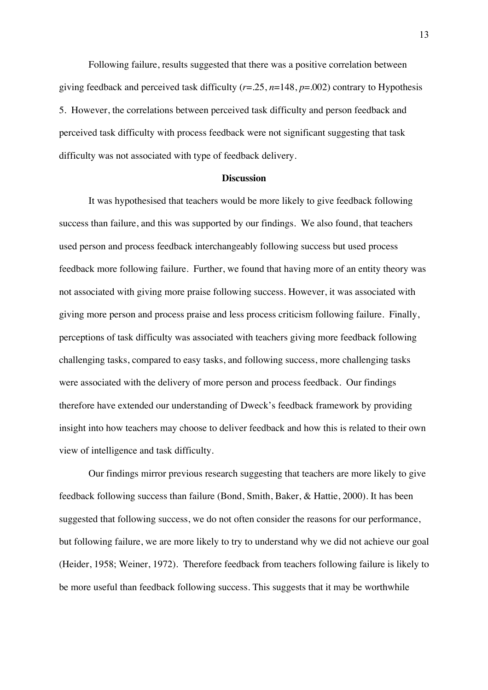Following failure, results suggested that there was a positive correlation between giving feedback and perceived task difficulty (*r*=.25, *n*=148, *p*=.002) contrary to Hypothesis 5. However, the correlations between perceived task difficulty and person feedback and perceived task difficulty with process feedback were not significant suggesting that task difficulty was not associated with type of feedback delivery.

#### **Discussion**

It was hypothesised that teachers would be more likely to give feedback following success than failure, and this was supported by our findings. We also found, that teachers used person and process feedback interchangeably following success but used process feedback more following failure. Further, we found that having more of an entity theory was not associated with giving more praise following success. However, it was associated with giving more person and process praise and less process criticism following failure. Finally, perceptions of task difficulty was associated with teachers giving more feedback following challenging tasks, compared to easy tasks, and following success, more challenging tasks were associated with the delivery of more person and process feedback. Our findings therefore have extended our understanding of Dweck's feedback framework by providing insight into how teachers may choose to deliver feedback and how this is related to their own view of intelligence and task difficulty.

Our findings mirror previous research suggesting that teachers are more likely to give feedback following success than failure (Bond, Smith, Baker, & Hattie, 2000). It has been suggested that following success, we do not often consider the reasons for our performance, but following failure, we are more likely to try to understand why we did not achieve our goal (Heider, 1958; Weiner, 1972). Therefore feedback from teachers following failure is likely to be more useful than feedback following success. This suggests that it may be worthwhile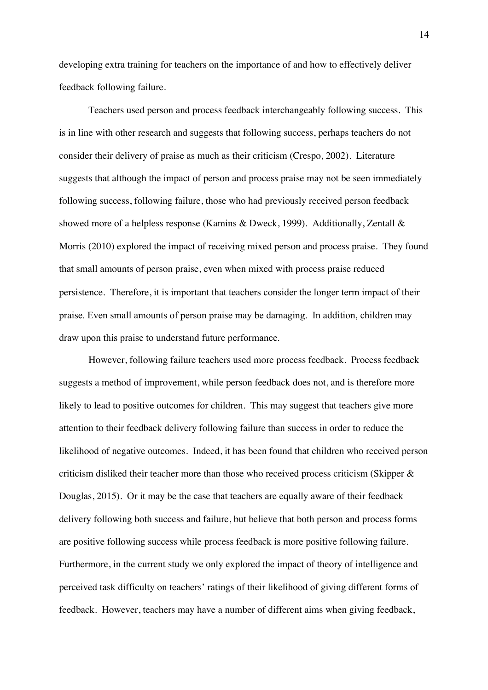developing extra training for teachers on the importance of and how to effectively deliver feedback following failure.

Teachers used person and process feedback interchangeably following success. This is in line with other research and suggests that following success, perhaps teachers do not consider their delivery of praise as much as their criticism (Crespo, 2002). Literature suggests that although the impact of person and process praise may not be seen immediately following success, following failure, those who had previously received person feedback showed more of a helpless response (Kamins & Dweck, 1999). Additionally, Zentall & Morris (2010) explored the impact of receiving mixed person and process praise. They found that small amounts of person praise, even when mixed with process praise reduced persistence. Therefore, it is important that teachers consider the longer term impact of their praise. Even small amounts of person praise may be damaging. In addition, children may draw upon this praise to understand future performance.

However, following failure teachers used more process feedback. Process feedback suggests a method of improvement, while person feedback does not, and is therefore more likely to lead to positive outcomes for children. This may suggest that teachers give more attention to their feedback delivery following failure than success in order to reduce the likelihood of negative outcomes. Indeed, it has been found that children who received person criticism disliked their teacher more than those who received process criticism (Skipper & Douglas, 2015). Or it may be the case that teachers are equally aware of their feedback delivery following both success and failure, but believe that both person and process forms are positive following success while process feedback is more positive following failure. Furthermore, in the current study we only explored the impact of theory of intelligence and perceived task difficulty on teachers' ratings of their likelihood of giving different forms of feedback. However, teachers may have a number of different aims when giving feedback,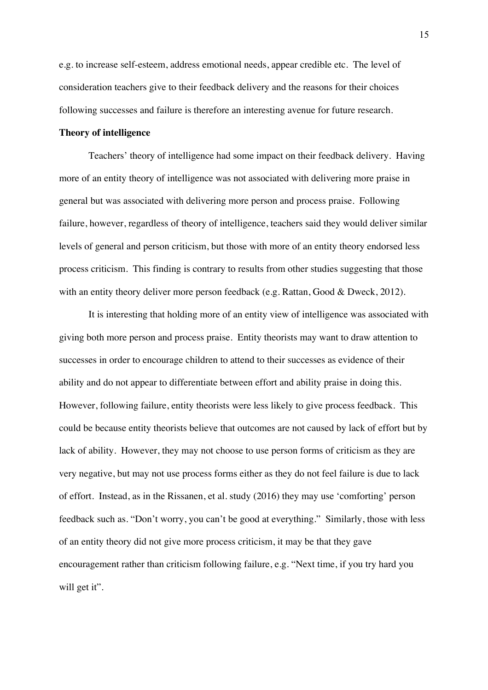e.g. to increase self-esteem, address emotional needs, appear credible etc. The level of consideration teachers give to their feedback delivery and the reasons for their choices following successes and failure is therefore an interesting avenue for future research.

#### **Theory of intelligence**

Teachers' theory of intelligence had some impact on their feedback delivery. Having more of an entity theory of intelligence was not associated with delivering more praise in general but was associated with delivering more person and process praise. Following failure, however, regardless of theory of intelligence, teachers said they would deliver similar levels of general and person criticism, but those with more of an entity theory endorsed less process criticism. This finding is contrary to results from other studies suggesting that those with an entity theory deliver more person feedback (e.g. Rattan, Good & Dweck, 2012).

It is interesting that holding more of an entity view of intelligence was associated with giving both more person and process praise. Entity theorists may want to draw attention to successes in order to encourage children to attend to their successes as evidence of their ability and do not appear to differentiate between effort and ability praise in doing this. However, following failure, entity theorists were less likely to give process feedback. This could be because entity theorists believe that outcomes are not caused by lack of effort but by lack of ability. However, they may not choose to use person forms of criticism as they are very negative, but may not use process forms either as they do not feel failure is due to lack of effort. Instead, as in the Rissanen, et al. study (2016) they may use 'comforting' person feedback such as. "Don't worry, you can't be good at everything." Similarly, those with less of an entity theory did not give more process criticism, it may be that they gave encouragement rather than criticism following failure, e.g. "Next time, if you try hard you will get it".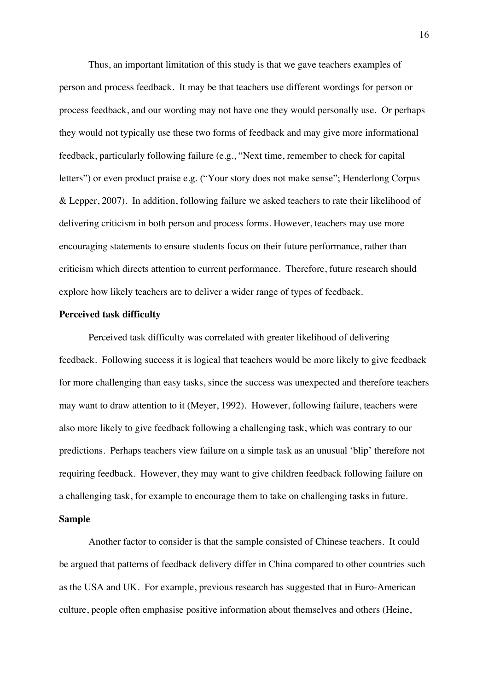Thus, an important limitation of this study is that we gave teachers examples of person and process feedback. It may be that teachers use different wordings for person or process feedback, and our wording may not have one they would personally use. Or perhaps they would not typically use these two forms of feedback and may give more informational feedback, particularly following failure (e.g., "Next time, remember to check for capital letters") or even product praise e.g. ("Your story does not make sense"; Henderlong Corpus & Lepper, 2007). In addition, following failure we asked teachers to rate their likelihood of delivering criticism in both person and process forms. However, teachers may use more encouraging statements to ensure students focus on their future performance, rather than criticism which directs attention to current performance. Therefore, future research should explore how likely teachers are to deliver a wider range of types of feedback.

#### **Perceived task difficulty**

Perceived task difficulty was correlated with greater likelihood of delivering feedback. Following success it is logical that teachers would be more likely to give feedback for more challenging than easy tasks, since the success was unexpected and therefore teachers may want to draw attention to it (Meyer, 1992). However, following failure, teachers were also more likely to give feedback following a challenging task, which was contrary to our predictions. Perhaps teachers view failure on a simple task as an unusual 'blip' therefore not requiring feedback. However, they may want to give children feedback following failure on a challenging task, for example to encourage them to take on challenging tasks in future.

#### **Sample**

Another factor to consider is that the sample consisted of Chinese teachers. It could be argued that patterns of feedback delivery differ in China compared to other countries such as the USA and UK. For example, previous research has suggested that in Euro-American culture, people often emphasise positive information about themselves and others (Heine,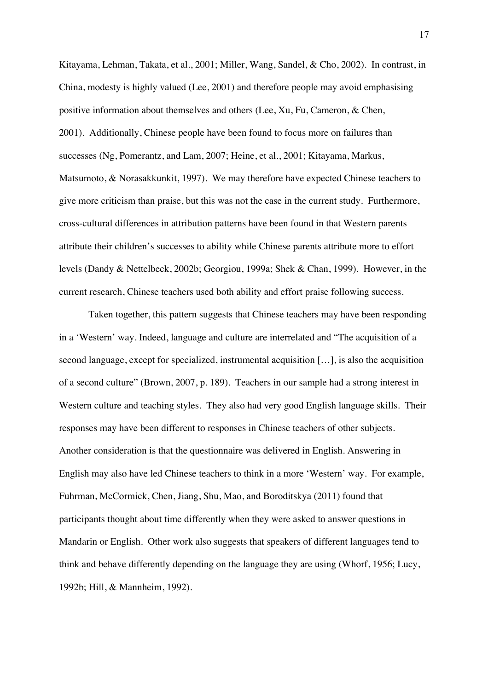Kitayama, Lehman, Takata, et al., 2001; Miller, Wang, Sandel, & Cho, 2002). In contrast, in China, modesty is highly valued (Lee, 2001) and therefore people may avoid emphasising positive information about themselves and others (Lee, Xu, Fu, Cameron, & Chen, 2001). Additionally, Chinese people have been found to focus more on failures than successes (Ng, Pomerantz, and Lam, 2007; Heine, et al., 2001; Kitayama, Markus, Matsumoto, & Norasakkunkit, 1997). We may therefore have expected Chinese teachers to give more criticism than praise, but this was not the case in the current study. Furthermore, cross-cultural differences in attribution patterns have been found in that Western parents attribute their children's successes to ability while Chinese parents attribute more to effort levels (Dandy & Nettelbeck, 2002b; Georgiou, 1999a; Shek & Chan, 1999). However, in the current research, Chinese teachers used both ability and effort praise following success.

Taken together, this pattern suggests that Chinese teachers may have been responding in a 'Western' way. Indeed, language and culture are interrelated and "The acquisition of a second language, except for specialized, instrumental acquisition […], is also the acquisition of a second culture" (Brown, 2007, p. 189). Teachers in our sample had a strong interest in Western culture and teaching styles. They also had very good English language skills. Their responses may have been different to responses in Chinese teachers of other subjects. Another consideration is that the questionnaire was delivered in English. Answering in English may also have led Chinese teachers to think in a more 'Western' way. For example, Fuhrman, McCormick, Chen, Jiang, Shu, Mao, and Boroditskya (2011) found that participants thought about time differently when they were asked to answer questions in Mandarin or English. Other work also suggests that speakers of different languages tend to think and behave differently depending on the language they are using (Whorf, 1956; Lucy, 1992b; Hill, & Mannheim, 1992).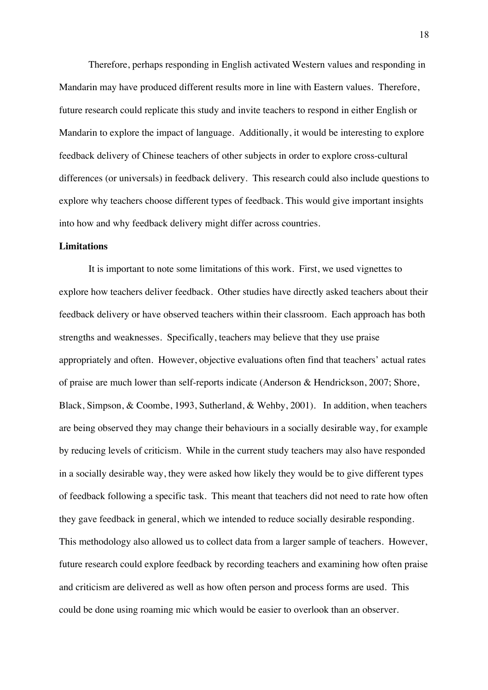Therefore, perhaps responding in English activated Western values and responding in Mandarin may have produced different results more in line with Eastern values. Therefore, future research could replicate this study and invite teachers to respond in either English or Mandarin to explore the impact of language. Additionally, it would be interesting to explore feedback delivery of Chinese teachers of other subjects in order to explore cross-cultural differences (or universals) in feedback delivery. This research could also include questions to explore why teachers choose different types of feedback. This would give important insights into how and why feedback delivery might differ across countries.

#### **Limitations**

It is important to note some limitations of this work. First, we used vignettes to explore how teachers deliver feedback. Other studies have directly asked teachers about their feedback delivery or have observed teachers within their classroom. Each approach has both strengths and weaknesses. Specifically, teachers may believe that they use praise appropriately and often. However, objective evaluations often find that teachers' actual rates of praise are much lower than self-reports indicate (Anderson & Hendrickson, 2007; Shore, Black, Simpson, & Coombe, 1993, Sutherland, & Wehby, 2001). In addition, when teachers are being observed they may change their behaviours in a socially desirable way, for example by reducing levels of criticism. While in the current study teachers may also have responded in a socially desirable way, they were asked how likely they would be to give different types of feedback following a specific task. This meant that teachers did not need to rate how often they gave feedback in general, which we intended to reduce socially desirable responding. This methodology also allowed us to collect data from a larger sample of teachers. However, future research could explore feedback by recording teachers and examining how often praise and criticism are delivered as well as how often person and process forms are used. This could be done using roaming mic which would be easier to overlook than an observer.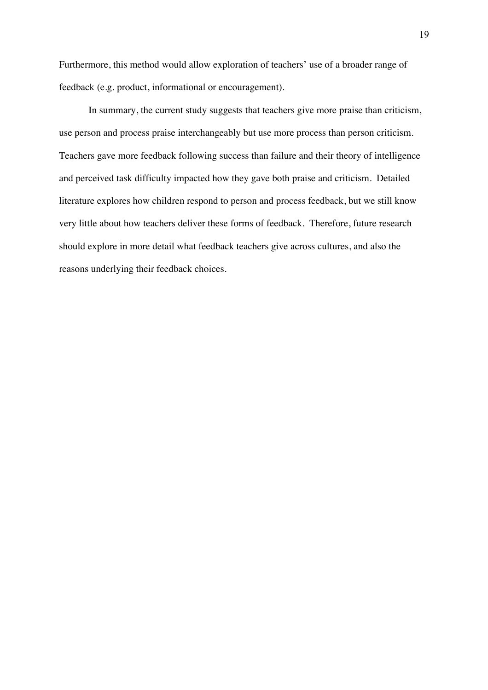Furthermore, this method would allow exploration of teachers' use of a broader range of feedback (e.g. product, informational or encouragement).

In summary, the current study suggests that teachers give more praise than criticism, use person and process praise interchangeably but use more process than person criticism. Teachers gave more feedback following success than failure and their theory of intelligence and perceived task difficulty impacted how they gave both praise and criticism. Detailed literature explores how children respond to person and process feedback, but we still know very little about how teachers deliver these forms of feedback. Therefore, future research should explore in more detail what feedback teachers give across cultures, and also the reasons underlying their feedback choices.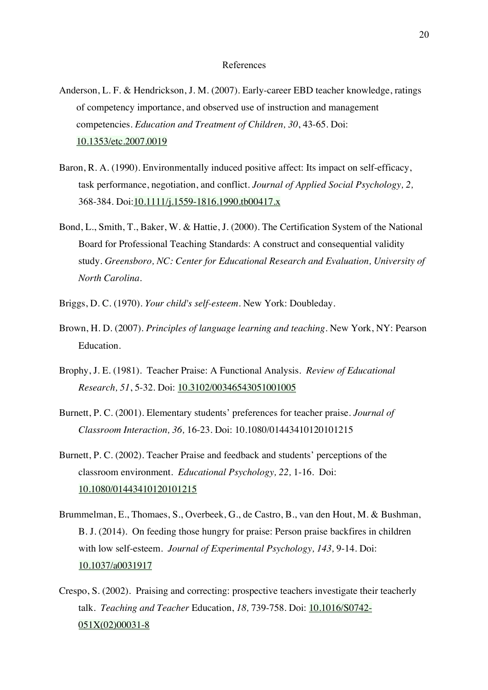- Anderson, L. F. & Hendrickson, J. M. (2007). Early-career EBD teacher knowledge, ratings of competency importance, and observed use of instruction and management competencies. *Education and Treatment of Children, 30*, 43-65. Doi: 10.1353/etc.2007.0019
- Baron, R. A. (1990). Environmentally induced positive affect: Its impact on self-efficacy, task performance, negotiation, and conflict. *Journal of Applied Social Psychology, 2,* 368-384. Doi:10.1111/j.1559-1816.1990.tb00417.x
- Bond, L., Smith, T., Baker, W. & Hattie, J. (2000). The Certification System of the National Board for Professional Teaching Standards: A construct and consequential validity study*. Greensboro, NC: Center for Educational Research and Evaluation, University of North Carolina.*
- Briggs, D. C. (1970). *Your child's self-esteem.* New York: Doubleday.
- Brown, H. D. (2007). *Principles of language learning and teaching.* New York, NY: Pearson Education.
- Brophy, J. E. (1981). Teacher Praise: A Functional Analysis. *Review of Educational Research, 51*, 5-32. Doi: 10.3102/00346543051001005
- Burnett, P. C. (2001). Elementary students' preferences for teacher praise. *Journal of Classroom Interaction, 36,* 16-23. Doi: 10.1080/01443410120101215
- Burnett, P. C. (2002). Teacher Praise and feedback and students' perceptions of the classroom environment. *Educational Psychology, 22,* 1-16. Doi: 10.1080/01443410120101215
- Brummelman, E., Thomaes, S., Overbeek, G., de Castro, B., van den Hout, M. & Bushman, B. J. (2014). On feeding those hungry for praise: Person praise backfires in children with low self-esteem. *Journal of Experimental Psychology, 143,* 9-14. Doi: 10.1037/a0031917
- Crespo, S. (2002). Praising and correcting: prospective teachers investigate their teacherly talk. *Teaching and Teacher* Education, *18,* 739-758. Doi: 10.1016/S0742- 051X(02)00031-8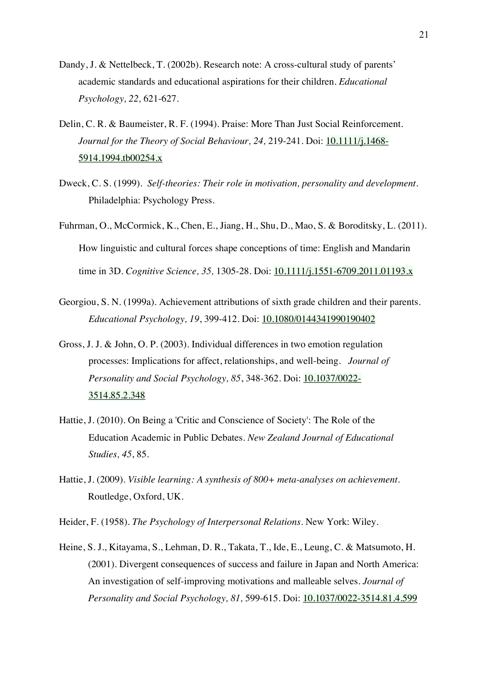- Dandy, J. & Nettelbeck, T. (2002b). Research note: A cross-cultural study of parents' academic standards and educational aspirations for their children. *Educational Psychology, 22,* 621-627.
- Delin, C. R. & Baumeister, R. F. (1994). Praise: More Than Just Social Reinforcement. *Journal for the Theory of Social Behaviour, 24,* 219-241. Doi: 10.1111/j.1468- 5914.1994.tb00254.x
- Dweck, C. S. (1999). *Self-theories: Their role in motivation, personality and development.*  Philadelphia: Psychology Press.
- Fuhrman, O., McCormick, K., Chen, E., Jiang, H., Shu, D., Mao, S. & Boroditsky, L. (2011). How linguistic and cultural forces shape conceptions of time: English and Mandarin time in 3D. *Cognitive Science, 35, 1305-28.* Doi: **10.1111/j.1551-6709.2011.01193.x**
- Georgiou, S. N. (1999a). Achievement attributions of sixth grade children and their parents. *Educational Psychology, 19*, 399-412. Doi: 10.1080/0144341990190402
- Gross, J. J. & John, O. P. (2003). Individual differences in two emotion regulation processes: Implications for affect, relationships, and well-being. *Journal of Personality and Social Psychology, 85, 348-362. Doi:* 10.1037/0022-3514.85.2.348
- Hattie, J. (2010). On Being a 'Critic and Conscience of Society': The Role of the Education Academic in Public Debates. *New Zealand Journal of Educational Studies, 45*, 85.
- Hattie, J. (2009). *Visible learning: A synthesis of 800+ meta-analyses on achievement*. Routledge, Oxford, UK.
- Heider, F. (1958). *The Psychology of Interpersonal Relations*. New York: Wiley.
- Heine, S. J., Kitayama, S., Lehman, D. R., Takata, T., Ide, E., Leung, C. & Matsumoto, H. (2001). Divergent consequences of success and failure in Japan and North America: An investigation of self-improving motivations and malleable selves. *Journal of Personality and Social Psychology, 81,* 599-615. Doi: 10.1037/0022-3514.81.4.599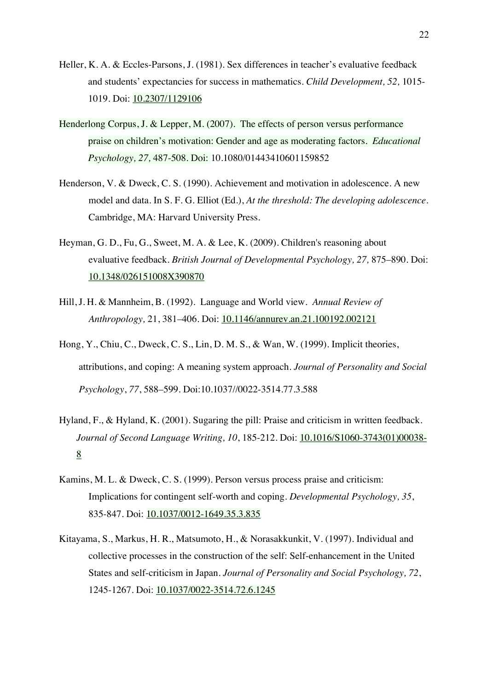- Heller, K. A. & Eccles-Parsons, J. (1981). Sex differences in teacher's evaluative feedback and students' expectancies for success in mathematics. *Child Development, 52,* 1015- 1019. Doi: 10.2307/1129106
- Henderlong Corpus, J. & Lepper, M. (2007). The effects of person versus performance praise on children's motivation: Gender and age as moderating factors. *Educational Psychology, 27,* 487-508. Doi: 10.1080/01443410601159852
- Henderson, V. & Dweck, C. S. (1990). Achievement and motivation in adolescence. A new model and data. In S. F. G. Elliot (Ed.), *At the threshold: The developing adolescence*. Cambridge, MA: Harvard University Press.
- Heyman, G. D., Fu, G., Sweet, M. A. & Lee, K. (2009). Children's reasoning about evaluative feedback. *British Journal of Developmental Psychology, 27,* 875–890. Doi: 10.1348/026151008X390870
- Hill, J. H. & Mannheim, B. (1992). Language and World view. *Annual Review of Anthropology,* 21, 381–406. Doi: 10.1146/annurev.an.21.100192.002121
- Hong, Y., Chiu, C., Dweck, C. S., Lin, D. M. S., & Wan, W. (1999). Implicit theories, attributions, and coping: A meaning system approach. *Journal of Personality and Social Psychology*, *77*, 588–599. Doi:10.1037//0022-3514.77.3.588
- Hyland, F., & Hyland, K. (2001). Sugaring the pill: Praise and criticism in written feedback. *Journal of Second Language Writing, 10*, 185-212. Doi: 10.1016/S1060-3743(01)00038- 8
- Kamins, M. L. & Dweck, C. S. (1999). Person versus process praise and criticism: Implications for contingent self-worth and coping. *Developmental Psychology, 35*, 835-847. Doi: 10.1037/0012-1649.35.3.835
- Kitayama, S., Markus, H. R., Matsumoto, H., & Norasakkunkit, V. (1997). Individual and collective processes in the construction of the self: Self-enhancement in the United States and self-criticism in Japan. *Journal of Personality and Social Psychology, 72*, 1245-1267. Doi: 10.1037/0022-3514.72.6.1245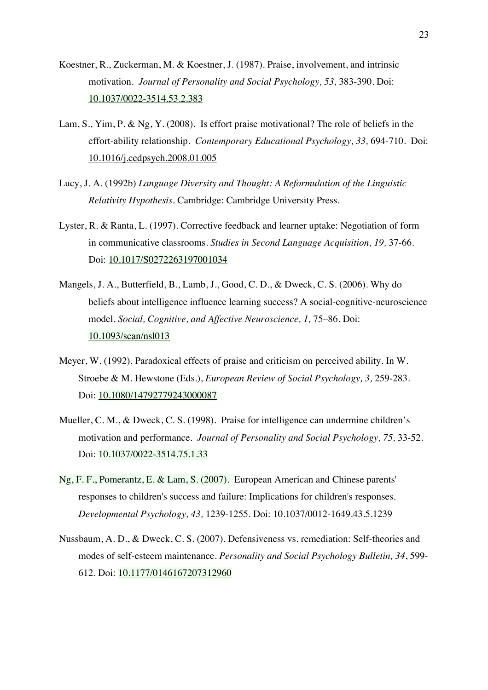- Koestner, R., Zuckerman, M. & Koestner, J. (1987). Praise, involvement, and intrinsic motivation. *Journal of Personality and Social Psychology, 53,* 383-390. Doi: 10.1037/0022-3514.53.2.383
- Lam, S., Yim, P. & Ng, Y. (2008). Is effort praise motivational? The role of beliefs in the effort-ability relationship. *Contemporary Educational Psychology, 33,* 694-710. Doi: 10.1016/j.cedpsych.2008.01.005
- Lucy, J. A. (1992b) *Language Diversity and Thought: A Reformulation of the Linguistic Relativity Hypothesis*. Cambridge: Cambridge University Press.
- Lyster, R. & Ranta, L. (1997). Corrective feedback and learner uptake: Negotiation of form in communicative classrooms. *Studies in Second Language Acquisition, 19,* 37-66. Doi: 10.1017/S0272263197001034
- Mangels, J. A., Butterfield, B., Lamb, J., Good, C. D., & Dweck, C. S. (2006). Why do beliefs about intelligence influence learning success? A social-cognitive-neuroscience model. *Social, Cognitive, and Affective Neuroscience, 1,* 75–86. Doi: 10.1093/scan/nsl013
- Meyer, W. (1992). Paradoxical effects of praise and criticism on perceived ability. In W. Stroebe & M. Hewstone (Eds.), *European Review of Social Psychology, 3,* 259-283. Doi: 10.1080/14792779243000087
- Mueller, C. M., & Dweck, C. S. (1998). Praise for intelligence can undermine children's motivation and performance. *Journal of Personality and Social Psychology, 75,* 33-52. Doi: 10.1037/0022-3514.75.1.33
- Ng, F. F., Pomerantz, E. & Lam, S. (2007). European American and Chinese parents' responses to children's success and failure: Implications for children's responses. *Developmental Psychology, 43,* 1239-1255. Doi: 10.1037/0012-1649.43.5.1239
- Nussbaum, A. D., & Dweck, C. S. (2007). Defensiveness vs. remediation: Self-theories and modes of self-esteem maintenance. *Personality and Social Psychology Bulletin, 34*, 599- 612. Doi: 10.1177/0146167207312960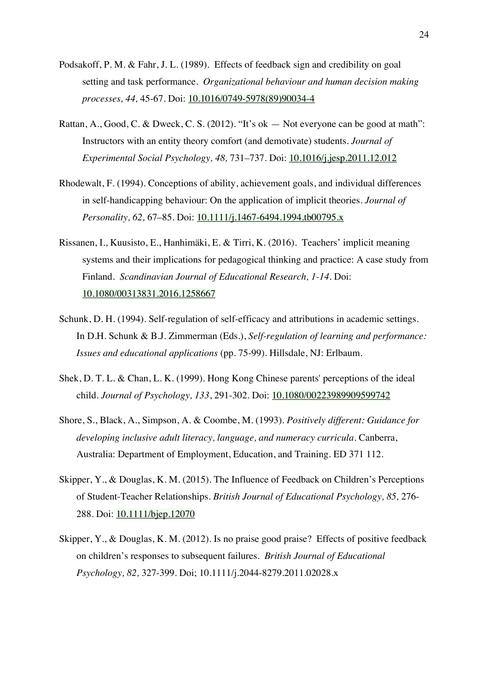- Podsakoff, P. M. & Fahr, J. L. (1989). Effects of feedback sign and credibility on goal setting and task performance. *Organizational behaviour and human decision making processes, 44,* 45-67. Doi: 10.1016/0749-5978(89)90034-4
- Rattan, A., Good, C. & Dweck, C. S. (2012). "It's ok Not everyone can be good at math": Instructors with an entity theory comfort (and demotivate) students. *Journal of Experimental Social Psychology, 48,* 731–737. Doi: 10.1016/j.jesp.2011.12.012
- Rhodewalt, F. (1994). Conceptions of ability, achievement goals, and individual differences in self-handicapping behaviour: On the application of implicit theories. *Journal of Personality, 62, 67-85. Doi:* 10.1111/j.1467-6494.1994.tb00795.x
- Rissanen, I., Kuusisto, E., Hanhimäki, E. & Tirri, K. (2016). Teachers' implicit meaning systems and their implications for pedagogical thinking and practice: A case study from Finland.*Scandinavian Journal of Educational Research, 1-14.* Doi: 10.1080/00313831.2016.1258667
- Schunk, D. H. (1994). Self-regulation of self-efficacy and attributions in academic settings. In D.H. Schunk & B.J. Zimmerman (Eds.), *Self-regulation of learning and performance: Issues and educational applications* (pp. 75-99). Hillsdale, NJ: Erlbaum.
- Shek, D. T. L. & Chan, L. K. (1999). Hong Kong Chinese parents' perceptions of the ideal child. *Journal of Psychology, 133*, 291-302. Doi: 10.1080/00223989909599742
- Shore, S., Black, A., Simpson, A. & Coombe, M. (1993). *Positively different: Guidance for developing inclusive adult literacy, language, and numeracy curricula*. Canberra, Australia: Department of Employment, Education, and Training. ED 371 112.
- Skipper, Y., & Douglas, K. M. (2015). The Influence of Feedback on Children's Perceptions of Student-Teacher Relationships. *British Journal of Educational Psychology, 85,* 276- 288. Doi: 10.1111/bjep.12070
- Skipper, Y., & Douglas, K. M. (2012). Is no praise good praise? Effects of positive feedback on children's responses to subsequent failures. *British Journal of Educational Psychology, 82,* 327-399. Doi; 10.1111/j.2044-8279.2011.02028.x